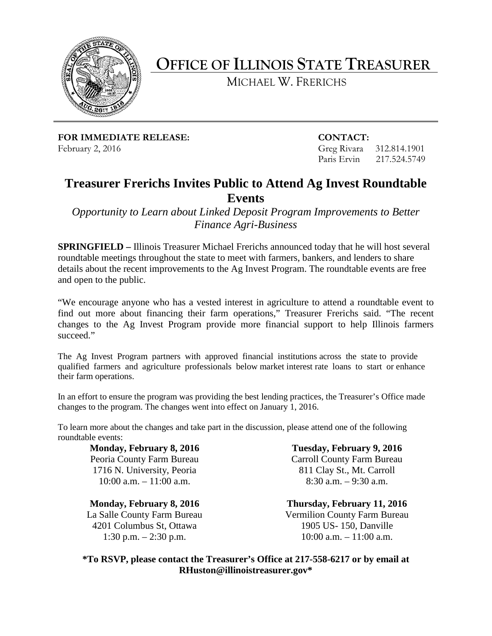

## **OFFICE OF ILLINOIS STATE TREASURER**

MICHAEL W. FRERICHS

**FOR IMMEDIATE RELEASE: CONTACT:** February 2, 2016 **Greg Rivara** 312.814.1901

Paris Ervin 217.524.5749

## **Treasurer Frerichs Invites Public to Attend Ag Invest Roundtable Events**

*Opportunity to Learn about Linked Deposit Program Improvements to Better Finance Agri-Business*

**SPRINGFIELD –** Illinois Treasurer Michael Frerichs announced today that he will host several roundtable meetings throughout the state to meet with farmers, bankers, and lenders to share details about the recent improvements to the Ag Invest Program. The roundtable events are free and open to the public.

"We encourage anyone who has a vested interest in agriculture to attend a roundtable event to find out more about financing their farm operations," Treasurer Frerichs said. "The recent changes to the Ag Invest Program provide more financial support to help Illinois farmers succeed."

The Ag Invest Program partners with approved financial institutions across the state to provide qualified farmers and agriculture professionals below market interest rate loans to start or enhance their farm operations.

In an effort to ensure the program was providing the best lending practices, the Treasurer's Office made changes to the program. The changes went into effect on January 1, 2016.

To learn more about the changes and take part in the discussion, please attend one of the following roundtable events:

**Monday, February 8, 2016** Peoria County Farm Bureau 1716 N. University, Peoria 10:00 a.m. – 11:00 a.m.

**Monday, February 8, 2016** La Salle County Farm Bureau 4201 Columbus St, Ottawa 1:30 p.m. – 2:30 p.m.

**Tuesday, February 9, 2016** Carroll County Farm Bureau 811 Clay St., Mt. Carroll 8:30 a.m. – 9:30 a.m.

**Thursday, February 11, 2016** Vermilion County Farm Bureau 1905 US- 150, Danville  $10:00$  a.m.  $-11:00$  a.m.

**\*To RSVP, please contact the Treasurer's Office at 217-558-6217 or by email at RHuston@illinoistreasurer.gov\***